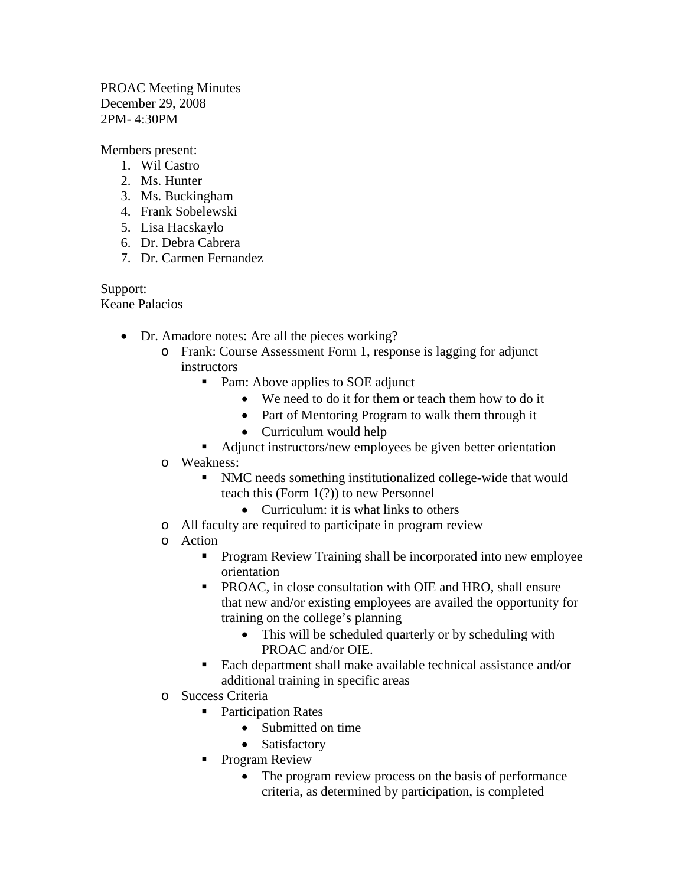PROAC Meeting Minutes December 29, 2008 2PM- 4:30PM

Members present:

- 1. Wil Castro
- 2. Ms. Hunter
- 3. Ms. Buckingham
- 4. Frank Sobelewski
- 5. Lisa Hacskaylo
- 6. Dr. Debra Cabrera
- 7. Dr. Carmen Fernandez

Support: Keane Palacios

- Dr. Amadore notes: Are all the pieces working?
	- o Frank: Course Assessment Form 1, response is lagging for adjunct instructors
		- Pam: Above applies to SOE adjunct
			- We need to do it for them or teach them how to do it
			- Part of Mentoring Program to walk them through it
			- Curriculum would help
		- Adjunct instructors/new employees be given better orientation
	- o Weakness:
		- NMC needs something institutionalized college-wide that would teach this (Form 1(?)) to new Personnel
			- Curriculum: it is what links to others
	- o All faculty are required to participate in program review
	- o Action
		- **Program Review Training shall be incorporated into new employee** orientation
		- **PROAC, in close consultation with OIE and HRO, shall ensure** that new and/or existing employees are availed the opportunity for training on the college's planning
			- This will be scheduled quarterly or by scheduling with PROAC and/or OIE.
		- Each department shall make available technical assistance and/or additional training in specific areas
	- o Success Criteria
		- Participation Rates
			- Submitted on time
			- Satisfactory
		- **Program Review** 
			- The program review process on the basis of performance criteria, as determined by participation, is completed